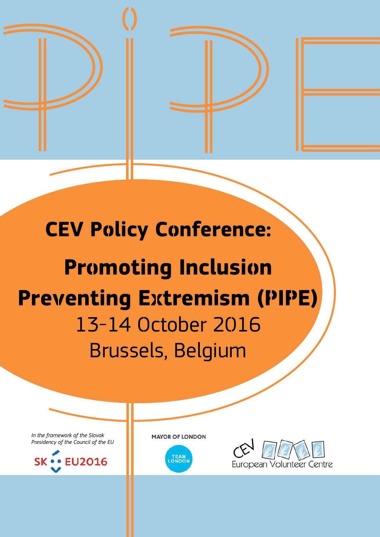

# **CEV Policy Conference:**

# **Promoting Inclusion Preventing Extremism (PIPE)** 13-14 October 2016 Brussels, Belgium

*In the framework of the Slovak Presidency of the Council of the EU*



**MAYOR OF LONDON** 



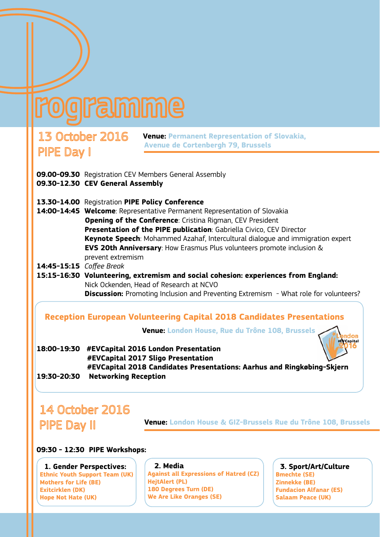# **Iramime**

# **Avenue de Cortenbergh 79, Brussels**<br> **PIPE Day** 1

**Venue: Permanent Representation of Slovakia,** 

- **09.00-09.30** Registration CEV Members General Assembly **09.30-12.30 CEV General Assembly**
- **13.30-14.00** Registration **PIPE Policy Conference**
- **14:00-14:45 Welcome**: Representative Permanent Representation of Slovakia **Opening of the Conference**: Cristina Rigman, CEV President **Presentation of the PIPE publication**: Gabriella Civico, CEV Director **Keynote Speech**: Mohammed Azahaf, Intercultural dialogue and immigration expert **EVS 20th Anniversary**: How Erasmus Plus volunteers promote inclusion & prevent extremism
- **14:45-15:15** *Coffee Break*
- **15:15-16:30 Volunteering, extremism and social cohesion: experiences from England:** Nick Ockenden, Head of Research at NCVO **Discussion:** Promoting Inclusion and Preventing Extremism - What role for volunteers?

## **Reception European Volunteering Capital 2018 Candidates Presentations**

 **Venue: London House, Rue du Trône 108, Brussels**

**18:00-19:30 #EVCapital 2016 London Presentation #EVCapital 2017 Sligo Presentation #EVCapital 2018 Candidates Presentations: Aarhus and Ringkøbing-Skjern 19:30-20:30 Networking Reception** 

# 14 October 2016

 **Venue: London House & GIZ-Brussels Rue du Trône 108, Brussels**

#### **09:30 - 12:30 PIPE Workshops:**

 **1. Gender Perspectives: Ethnic Youth Support Team (UK) Mothers for Life (BE) Exitcirklen (DK) Hope Not Hate (UK)**

#### **2. Media**

**Against all Expressions of Hatred (CZ) HejtAlert (PL) 180 Degrees Turn (DE) We Are Like Oranges (SE)**

#### **3. Sport/Art/Culture**

ıdon **#EVCapital** 

**Bmechte (SE) Zinnekke (BE) Fundacion Alfanar (ES) Salaam Peace (UK)**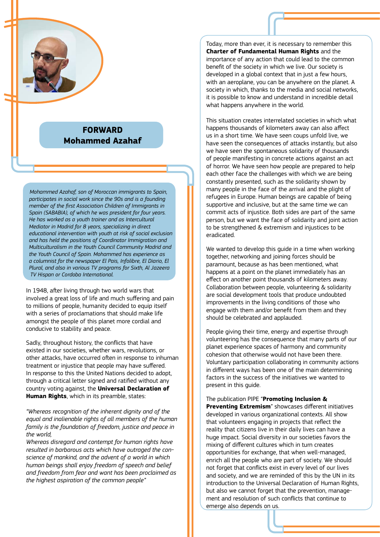

# **FORWARD Mohammed Azahaf**

*Mohammed Azahaf, son of Moroccan immigrants to Spain, participates in social work since the 90s and is a founding member of the first Association Children of Immigrants in Spain (SABABIA), of which he was president for four years. He has worked as a youth trainer and as Intercultural Mediator in Madrid for 8 years, specializing in direct educational intervention with youth at risk of social exclusion and has held the positions of Coordinator Immigration and Multiculturalism in the Youth Council Community Madrid and the Youth Council of Spain. Mohammed has experience as a columnist for the newspaper El Pais, Infolibre, El Diario, El Plural, and also in various TV programs for Sixth, Al Jazeera TV Hispan or Cordoba International.*

In 1948, after living through two world wars that involved a great loss of life and much suffering and pain to millions of people, humanity decided to equip itself with a series of proclamations that should make life amongst the people of this planet more cordial and conducive to stability and peace.

Sadly, throughout history, the conflicts that have existed in our societies, whether wars, revolutions, or other attacks, have occurred often in response to inhuman treatment or injustice that people may have suffered. In response to this the United Nations decided to adopt, through a critical letter signed and ratified without any country voting against, the **Universal Declaration of Human Rights**, which in its preamble, states:

*"Whereas recognition of the inherent dignity and of the equal and inalienable rights of all members of the human family is the foundation of freedom, justice and peace in the world,* 

*Whereas disregard and contempt for human rights have resulted in barbarous acts which have outraged the conscience of mankind, and the advent of a world in which human beings shall enjoy freedom of speech and belief and freedom from fear and want has been proclaimed as the highest aspiration of the common people"*

Today, more than ever, it is necessary to remember this **Charter of Fundamental Human Rights** and the importance of any action that could lead to the common benefit of the society in which we live. Our society is developed in a global context that in just a few hours, with an aeroplane, you can be anywhere on the planet. A society in which, thanks to the media and social networks, it is possible to know and understand in incredible detail what happens anywhere in the world.

This situation creates interrelated societies in which what happens thousands of kilometers away can also affect us in a short time. We have seen coups unfold live, we have seen the consequences of attacks instantly, but also we have seen the spontaneous solidarity of thousands of people manifesting in concrete actions against an act of horror. We have seen how people are prepared to help each other face the challenges with which we are being constantly presented, such as the solidarity shown by many people in the face of the arrival and the plight of refugees in Europe. Human beings are capable of being supportive and inclusive, but at the same time we can commit acts of injustice. Both sides are part of the same person, but we want the face of solidarity and joint action to be strengthened & extremism and injustices to be eradicated.

We wanted to develop this guide in a time when working together, networking and joining forces should be paramount, because as has been mentioned, what happens at a point on the planet immediately has an effect on another point thousands of kilometers away. Collaboration between people, volunteering & solidarity are social development tools that produce undoubted improvements in the living conditions of those who engage with them and/or benefit from them and they should be celebrated and applauded.

People giving their time, energy and expertise through volunteering has the consequence that many parts of our planet experience spaces of harmony and community cohesion that otherwise would not have been there. Voluntary participation collaborating in community actions in different ways has been one of the main determining factors in the success of the initiatives we wanted to present in this guide.

The publication PIPE "**Promoting Inclusion & Preventing Extremism**" showcases different initiatives developed in various organizational contexts. All show that volunteers engaging in projects that reflect the reality that citizens live in their daily lives can have a huge impact. Social diversity in our societies favors the mixing of different cultures which in turn creates opportunities for exchange, that when well-managed, enrich all the people who are part of society. We should not forget that conflicts exist in every level of our lives and society, and we are reminded of this by the UN in its introduction to the Universal Declaration of Human Rights, but also we cannot forget that the prevention, management and resolution of such conflicts that continue to emerge also depends on us.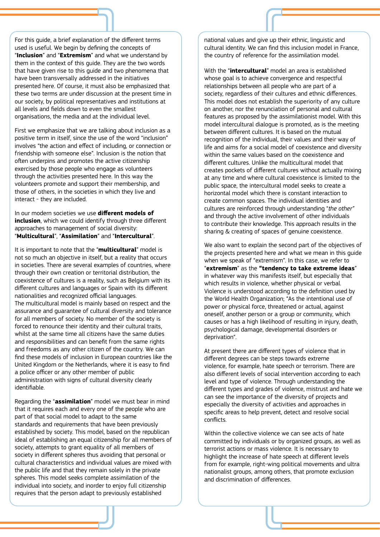For this guide, a brief explanation of the different terms used is useful. We begin by defining the concepts of "**Inclusion**" and "**Extremism**" and what we understand by them in the context of this guide. They are the two words that have given rise to this guide and two phenomena that have been transversally addressed in the initiatives presented here. Of course, it must also be emphasized that these two terms are under discussion at the present time in our society, by political representatives and institutions at all levels and fields down to even the smallest organisations, the media and at the individual level.

First we emphasize that we are talking about inclusion as a positive term in itself, since the use of the word "inclusion" involves "the action and effect of including, or connection or friendship with someone else". Inclusion is the notion that often underpins and promotes the active citizenship exercised by those people who engage as volunteers through the activities presented here. In this way the volunteers promote and support their membership, and those of others, in the societies in which they live and interact - they are included.

In our modern societies we use **different models of inclusion**, which we could identify through three different approaches to management of social diversity: "**Multicultural**", "**Assimilation**" and "**Intercultural**".

It is important to note that the "**multicultural**" model is not so much an objective in itself, but a reality that occurs in societies. There are several examples of countries, where through their own creation or territorial distribution, the coexistence of cultures is a reality, such as Belgium with its different cultures and languages or Spain with its different nationalities and recognized official languages. The multicultural model is mainly based on respect and the assurance and guarantee of cultural diversity and tolerance for all members of society. No member of the society is forced to renounce their identity and their cultural traits, whilst at the same time all citizens have the same duties and responsibilities and can benefit from the same rights and freedoms as any other citizen of the country. We can find these models of inclusion in European countries like the United Kingdom or the Netherlands, where it is easy to find a police officer or any other member of public administration with signs of cultural diversity clearly identifiable.

Regarding the "**assimilation**" model we must bear in mind that it requires each and every one of the people who are part of that social model to adapt to the same standards and requirements that have been previously established by society. This model, based on the republican ideal of establishing an equal citizenship for all members of society, attempts to grant equality of all members of society in different spheres thus avoiding that personal or cultural characteristics and individual values are mixed with the public life and that they remain solely in the private spheres. This model seeks complete assimilation of the individual into society, and inorder to enjoy full citizenship requires that the person adapt to previously established

national values and give up their ethnic, linguistic and cultural identity. We can find this inclusion model in France, the country of reference for the assimilation model.

With the "**intercultural**" model an area is established whose goal is to achieve convergence and respectful relationships between all people who are part of a society, regardless of their cultures and ethnic differences. This model does not establish the superiority of any culture on another, nor the renunciation of personal and cultural features as proposed by the assimilationist model. With this model intercultural dialogue is promoted, as is the meeting between different cultures. It is based on the mutual recognition of the individual, their values and their way of life and aims for a social model of coexistence and diversity within the same values based on the coexistence and different cultures. Unlike the multicultural model that creates pockets of different cultures without actually mixing at any time and where cultural coexistence is limited to the public space, the intercultural model seeks to create a horizontal model which there is constant interaction to create common spaces. The individual identities and cultures are reinforced through understanding "*the other"* and through the active involvement of other individuals to contribute their knowledge. This approach results in the sharing & creating of spaces of genuine coexistence.

We also want to explain the second part of the objectives of the projects presented here and what we mean in this guide when we speak of "extremism". In this case, we refer to "**extremism**" as the **"tendency to take extreme ideas**" in whatever way this manifests itself, but especially that which results in violence, whether physical or verbal. Violence is understood according to the definition used by the World Health Organization; "As the intentional use of power or physical force, threatened or actual, against oneself, another person or a group or community, which causes or has a high likelihood of resulting in injury, death, psychological damage, developmental disorders or deprivation".

At present there are different types of violence that in different degrees can be steps towards extreme violence, for example, hate speech or terrorism. There are also different levels of social intervention according to each level and type of violence. Through understanding the different types and grades of violence, mistrust and hate we can see the importance of the diversity of projects and especially the diversity of activities and approaches in specific areas to help prevent, detect and resolve social conflicts.

Within the collective violence we can see acts of hate committed by individuals or by organized groups, as well as terrorist actions or mass violence. It is necessary to highlight the increase of hate speech at different levels from for example, right-wing political movements and ultra nationalist groups, among others, that promote exclusion and discrimination of differences.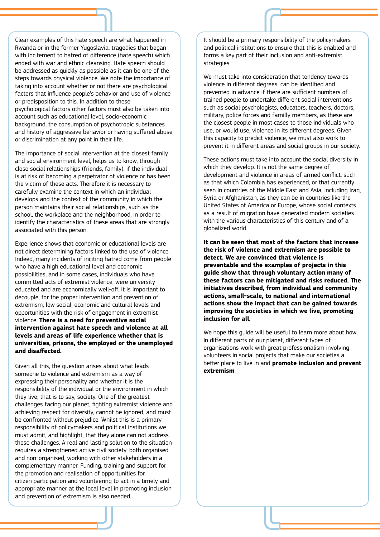Clear examples of this hate speech are what happened in Rwanda or in the former Yugoslavia, tragedies that began with incitement to hatred of difference (hate speech) which ended with war and ethnic cleansing. Hate speech should be addressed as quickly as possible as it can be one of the steps towards physical violence. We note the importance of taking into account whether or not there are psychological factors that influence people's behavior and use of violence or predisposition to this. In addition to these psychological factors other factors must also be taken into account such as educational level, socio-economic background, the consumption of psychotropic substances and history of aggressive behavior or having suffered abuse or discrimination at any point in their life.

The importance of social intervention at the closest family and social environment level, helps us to know, through close social relationships (friends, family), if the individual is at risk of becoming a perpetrator of violence or has been the victim of these acts. Therefore it is necessary to carefully examine the context in which an individual develops and the context of the community in which the person maintains their social relationships, such as the school, the workplace and the neighborhood, in order to identify the characteristics of these areas that are strongly associated with this person.

Experience shows that economic or educational levels are not direct determining factors linked to the use of violence. Indeed, many incidents of inciting hatred come from people who have a high educational level and economic possibilities, and in some cases, individuals who have committed acts of extremist violence, were university educated and are economically well-off. It is important to decouple, for the proper intervention and prevention of extremism, low social, economic and cultural levels and opportunities with the risk of engagement in extremist violence. **There is a need for preventive social intervention against hate speech and violence at all levels and areas of life experience whether that is universities, prisons, the employed or the unemployed and disaffected.** 

Given all this, the question arises about what leads someone to violence and extremism as a way of expressing their personality and whether it is the responsibility of the individual or the environment in which they live, that is to say, society. One of the greatest challenges facing our planet, fighting extremist violence and achieving respect for diversity, cannot be ignored, and must be confronted without prejudice. Whilst this is a primary responsibility of policymakers and political institutions we must admit, and highlight, that they alone can not address these challenges. A real and lasting solution to the situation requires a strengthened active civil society, both organised and non-organised, working with other stakeholders in a complementary manner. Funding, training and support for the promotion and realisation of opportunities for citizen participation and volunteering to act in a timely and appropriate manner at the local level in promoting inclusion and prevention of extremism is also needed.

It should be a primary responsibility of the policymakers and political institutions to ensure that this is enabled and forms a key part of their inclusion and anti-extremist strategies.

We must take into consideration that tendency towards violence in different degrees, can be identified and prevented in advance if there are sufficient numbers of trained people to undertake different social interventions such as social psychologists, educators, teachers, doctors, military, police forces and familly members, as these are the closest people in most cases to those individuals who use, or would use, violence in its different degrees. Given this capacity to predict violence, we must also work to prevent it in different areas and social groups in our society.

These actions must take into account the social diversity in which they develop. It is not the same degree of development and violence in areas of armed conflict, such as that which Colombia has experienced, or that currently seen in countries of the Middle East and Asia, including Iraq, Syria or Afghanistan, as they can be in countries like the United States of America or Europe, whose social contexts as a result of migration have generated modern societies with the various characteristics of this century and of a globalized world.

**It can be seen that most of the factors that increase the risk of violence and extremism are possible to detect. We are convinced that violence is preventable and the examples of projects in this guide show that through voluntary action many of these factors can be mitigated and risks reduced. The initiatives described, from individual and community actions, small-scale, to national and international actions show the impact that can be gained towards improving the societies in which we live, promoting inclusion for all.** 

We hope this guide will be useful to learn more about how, in different parts of our planet, different types of organisations work with great professionalism involving volunteers in social projects that make our societies a better place to live in and **promote inclusion and prevent extremism**.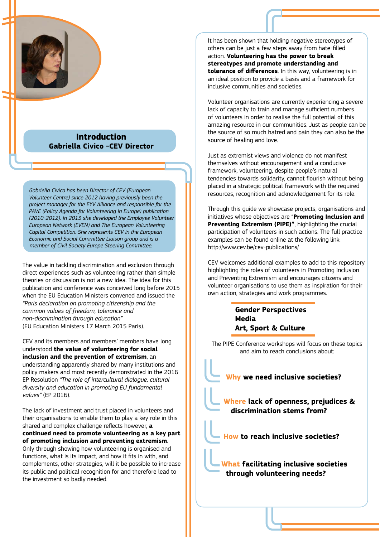

### **Introduction Gabriella Civico -CEV Director**

*Gabriella Civico has been Director of CEV (European Volunteer Centre) since 2012 having previously been the project manager for the EYV Alliance and responsible for the PAVE (Policy Agenda for Volunteering In Europe) publication (2010-2012). In 2013 she developed the Employee Volunteer European Network (EVEN) and The European Volunteering Capital Competition. She represents CEV in the European Economic and Social Committee Liaison group and is a member of Civil Society Europe Steering Committee.*

The value in tackling discrimination and exclusion through direct experiences such as volunteering rather than simple theories or discussion is not a new idea. The idea for this publication and conference was conceived long before 2015 when the EU Education Ministers convened and issued the *"Paris declaration on promoting citizenship and the common values of freedom, tolerance and non-discrimination through education"* (EU Education Ministers 17 March 2015 Paris).

CEV and its members and members' members have long understood **the value of volunteering for social inclusion and the prevention of extremism**, an understanding apparently shared by many institutions and policy makers and most recently demonstrated in the 2016 EP Resolution *"The role of intercultural dialogue, cultural diversity and education in promoting EU fundamental values"* (EP 2016).

The lack of investment and trust placed in volunteers and their organisations to enable them to play a key role in this shared and complex challenge reflects however, **a continued need to promote volunteering as a key part of promoting inclusion and preventing extremism**. Only through showing how volunteering is organised and functions, what is its impact, and how it fits in with, and complements, other strategies, will it be possible to increase its public and political recognition for and therefore lead to the investment so badly needed.

It has been shown that holding negative stereotypes of others can be just a few steps away from hate-filled action. **Volunteering has the power to break stereotypes and promote understanding and tolerance of differences**. In this way, volunteering is in an ideal position to provide a basis and a framework for inclusive communities and societies.

Volunteer organisations are currently experiencing a severe lack of capacity to train and manage sufficient numbers of volunteers in order to realise the full potential of this amazing resource in our communities. Just as people can be the source of so much hatred and pain they can also be the source of healing and love.

Just as extremist views and violence do not manifest themselves without encouragement and a conducive framework, volunteering, despite people's natural tendencies towards solidarity, cannot flourish without being placed in a strategic political framework with the required resources, recognition and acknowledgement for its role.

Through this guide we showcase projects, organisations and initiatives whose objectives are "**Promoting Inclusion and Preventing Extremism (PIPE)"**, highlighting the crucial participation of volunteers in such actions. The full practice examples can be found online at the following link: http://www.cev.be/cev-publications/

CEV welcomes additional examples to add to this repository highlighting the roles of volunteers in Promoting Inclusion and Preventing Extremism and encourages citizens and volunteer organisations to use them as inspiration for their own action, strategies and work programmes.

> **Gender Perspectives Media Art, Sport & Culture**

The PIPE Conference workshops will focus on these topics and aim to reach conclusions about:

 **Why we need inclusive societies? Where lack of openness, prejudices & discrimination stems from? How to reach inclusive societies? What facilitating inclusive societies through volunteering needs?**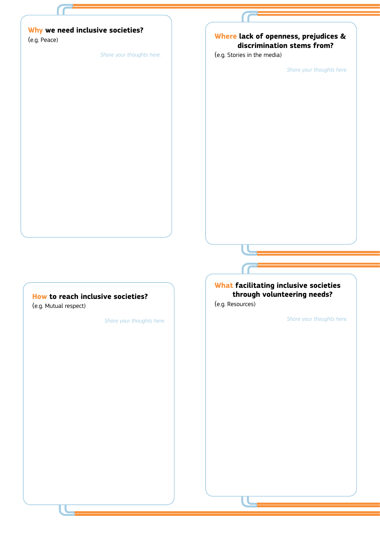### **Why we need inclusive societies?**

(e.g. Peace)

*Share your thoughts here.*

### **Where lack of openness, prejudices & discrimination stems from?**

(e.g. Stories in the media)

*Share your thoughts here.*

#### **How to reach inclusive societies?**

(e.g. Mutual respect)

*Share your thoughts here.*

### **What facilitating inclusive societies through volunteering needs?**

(e.g. Resources)

*Share your thoughts here.*